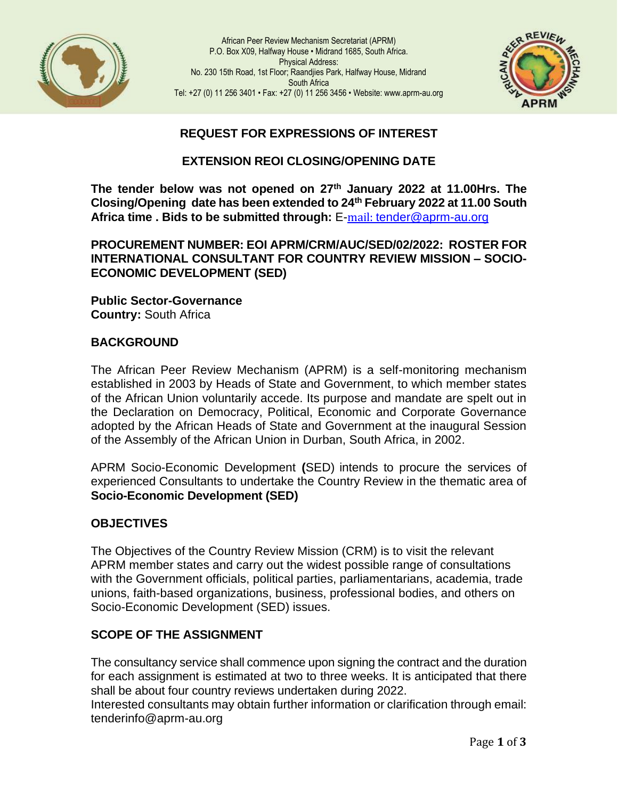

African Peer Review Mechanism Secretariat (APRM) P.O. Box X09, Halfway House • Midrand 1685, South Africa. Physical Address: No. 230 15th Road, 1st Floor; Raandjies Park, Halfway House, Midrand South Africa Tel: +27 (0) 11 256 3401 • Fax: +27 (0) 11 256 3456 • Website: www.aprm-au.org



# **REQUEST FOR EXPRESSIONS OF INTEREST**

### **EXTENSION REOI CLOSING/OPENING DATE**

**The tender below was not opened on 27th January 2022 at 11.00Hrs. The Closing/Opening date has been extended to 24th February 2022 at 11.00 South Africa time . Bids to be submitted through:** E-mail: [tender@aprm-au.org](mailto:tender@aprm-au.org)

#### **PROCUREMENT NUMBER: EOI APRM/CRM/AUC/SED/02/2022: ROSTER FOR INTERNATIONAL CONSULTANT FOR COUNTRY REVIEW MISSION – SOCIO-ECONOMIC DEVELOPMENT (SED)**

**Public Sector-Governance Country:** South Africa

### **BACKGROUND**

The African Peer Review Mechanism (APRM) is a self-monitoring mechanism established in 2003 by Heads of State and Government, to which member states of the African Union voluntarily accede. Its purpose and mandate are spelt out in the Declaration on Democracy, Political, Economic and Corporate Governance adopted by the African Heads of State and Government at the inaugural Session of the Assembly of the African Union in Durban, South Africa, in 2002.

APRM Socio-Economic Development **(**SED) intends to procure the services of experienced Consultants to undertake the Country Review in the thematic area of **Socio-Economic Development (SED)**

#### **OBJECTIVES**

The Objectives of the Country Review Mission (CRM) is to visit the relevant APRM member states and carry out the widest possible range of consultations with the Government officials, political parties, parliamentarians, academia, trade unions, faith-based organizations, business, professional bodies, and others on Socio-Economic Development (SED) issues.

## **SCOPE OF THE ASSIGNMENT**

The consultancy service shall commence upon signing the contract and the duration for each assignment is estimated at two to three weeks. It is anticipated that there shall be about four country reviews undertaken during 2022.

Interested consultants may obtain further information or clarification through email: tende[rinfo@aprm-au.org](mailto:info@aprm-au.org)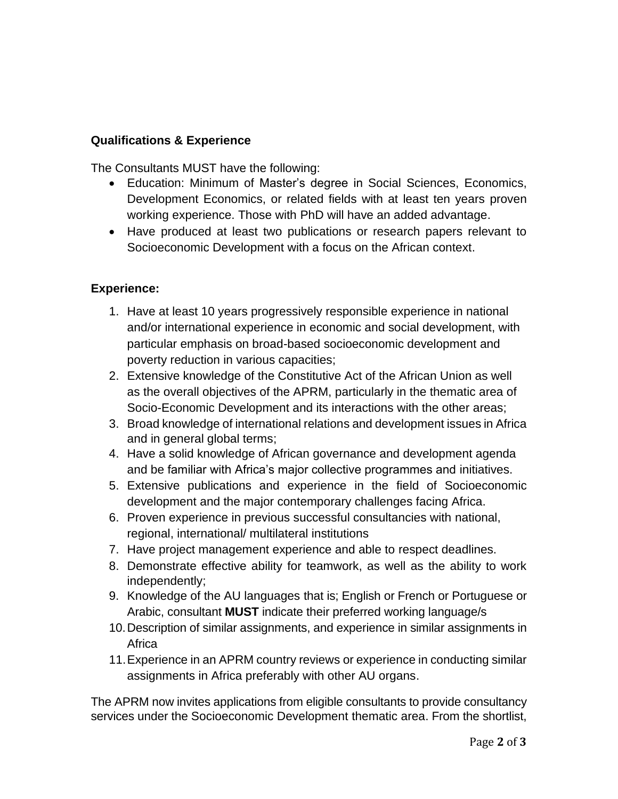## **Qualifications & Experience**

The Consultants MUST have the following:

- Education: Minimum of Master's degree in Social Sciences, Economics, Development Economics, or related fields with at least ten years proven working experience. Those with PhD will have an added advantage.
- Have produced at least two publications or research papers relevant to Socioeconomic Development with a focus on the African context.

## **Experience:**

- 1. Have at least 10 years progressively responsible experience in national and/or international experience in economic and social development, with particular emphasis on broad-based socioeconomic development and poverty reduction in various capacities;
- 2. Extensive knowledge of the Constitutive Act of the African Union as well as the overall objectives of the APRM, particularly in the thematic area of Socio-Economic Development and its interactions with the other areas;
- 3. Broad knowledge of international relations and development issues in Africa and in general global terms;
- 4. Have a solid knowledge of African governance and development agenda and be familiar with Africa's major collective programmes and initiatives.
- 5. Extensive publications and experience in the field of Socioeconomic development and the major contemporary challenges facing Africa.
- 6. Proven experience in previous successful consultancies with national, regional, international/ multilateral institutions
- 7. Have project management experience and able to respect deadlines.
- 8. Demonstrate effective ability for teamwork, as well as the ability to work independently;
- 9. Knowledge of the AU languages that is; English or French or Portuguese or Arabic, consultant **MUST** indicate their preferred working language/s
- 10.Description of similar assignments, and experience in similar assignments in **Africa**
- 11.Experience in an APRM country reviews or experience in conducting similar assignments in Africa preferably with other AU organs.

The APRM now invites applications from eligible consultants to provide consultancy services under the Socioeconomic Development thematic area. From the shortlist,